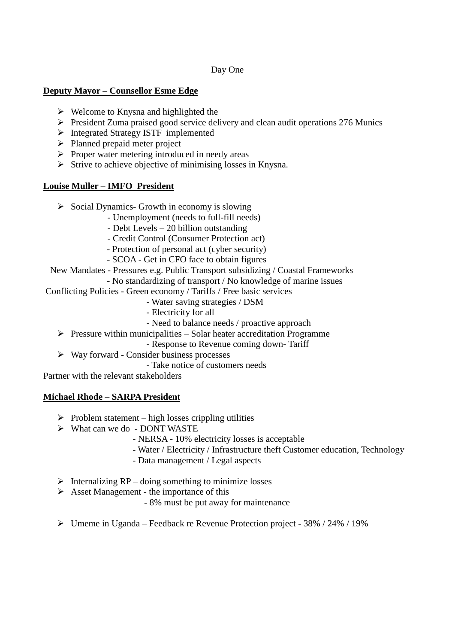# Day One

### **Deputy Mayor – Counsellor Esme Edge**

- $\triangleright$  Welcome to Knysna and highlighted the
- $\triangleright$  President Zuma praised good service delivery and clean audit operations 276 Munics
- Integrated Strategy ISTF implemented
- $\triangleright$  Planned prepaid meter project
- $\triangleright$  Proper water metering introduced in needy areas
- $\triangleright$  Strive to achieve objective of minimising losses in Knysna.

## **Louise Muller – IMFO President**

- $\triangleright$  Social Dynamics- Growth in economy is slowing
	- Unemployment (needs to full-fill needs)
	- Debt Levels 20 billion outstanding
	- Credit Control (Consumer Protection act)
	- Protection of personal act (cyber security)
	- SCOA Get in CFO face to obtain figures

### New Mandates - Pressures e.g. Public Transport subsidizing / Coastal Frameworks

- No standardizing of transport / No knowledge of marine issues
- Conflicting Policies Green economy / Tariffs / Free basic services
	- Water saving strategies / DSM
	- Electricity for all
	- Need to balance needs / proactive approach
	- $\triangleright$  Pressure within municipalities Solar heater accreditation Programme
		- Response to Revenue coming down- Tariff
	- $\triangleright$  Way forward Consider business processes
		- Take notice of customers needs

Partner with the relevant stakeholders

## **Michael Rhode – SARPA Presiden**t

- $\triangleright$  Problem statement high losses crippling utilities
- What can we do DONT WASTE
	- NERSA 10% electricity losses is acceptable
	- Water / Electricity / Infrastructure theft Customer education, Technology
	- Data management / Legal aspects
- $\triangleright$  Internalizing RP doing something to minimize losses
- $\triangleright$  Asset Management the importance of this
	- 8% must be put away for maintenance
- $\triangleright$  Umeme in Uganda Feedback re Revenue Protection project 38% / 24% / 19%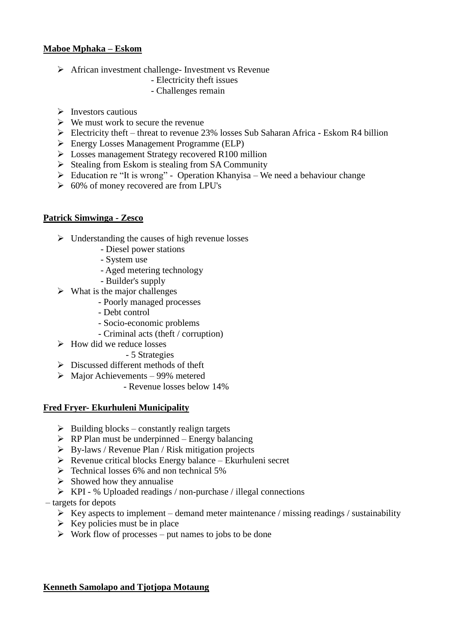### **Maboe Mphaka – Eskom**

- $\triangleright$  African investment challenge- Investment vs Revenue
	- Electricity theft issues
	- Challenges remain
- $\triangleright$  Investors cautious
- $\triangleright$  We must work to secure the revenue
- $\triangleright$  Electricity theft threat to revenue 23% losses Sub Saharan Africa Eskom R4 billion
- Energy Losses Management Programme (ELP)
- **EXECUTE:** Losses management Strategy recovered R100 million
- $\triangleright$  Stealing from Eskom is stealing from SA Community
- $\triangleright$  Education re "It is wrong" Operation Khanyisa We need a behaviour change
- $\geq 60\%$  of money recovered are from LPU's

### **Patrick Simwinga - Zesco**

- $\triangleright$  Understanding the causes of high revenue losses
	- Diesel power stations
	- System use
	- Aged metering technology
	- Builder's supply
- $\triangleright$  What is the major challenges
	- Poorly managed processes
	- Debt control
	- Socio-economic problems
	- Criminal acts (theft / corruption)
- $\triangleright$  How did we reduce losses
	- 5 Strategies
- $\triangleright$  Discussed different methods of theft
- $\triangleright$  Major Achievements 99% metered
	- Revenue losses below 14%

#### **Fred Fryer- Ekurhuleni Municipality**

- $\triangleright$  Building blocks constantly realign targets
- $\triangleright$  RP Plan must be underpinned Energy balancing
- $\triangleright$  By-laws / Revenue Plan / Risk mitigation projects
- $\triangleright$  Revenue critical blocks Energy balance Ekurhuleni secret
- $\triangleright$  Technical losses 6% and non technical 5%
- $\triangleright$  Showed how they annualise
- KPI % Uploaded readings / non-purchase / illegal connections
- targets for depots
	- $\triangleright$  Key aspects to implement demand meter maintenance / missing readings / sustainability
	- $\triangleright$  Key policies must be in place
	- $\triangleright$  Work flow of processes put names to jobs to be done

## **Kenneth Samolapo and Tjotjopa Motaung**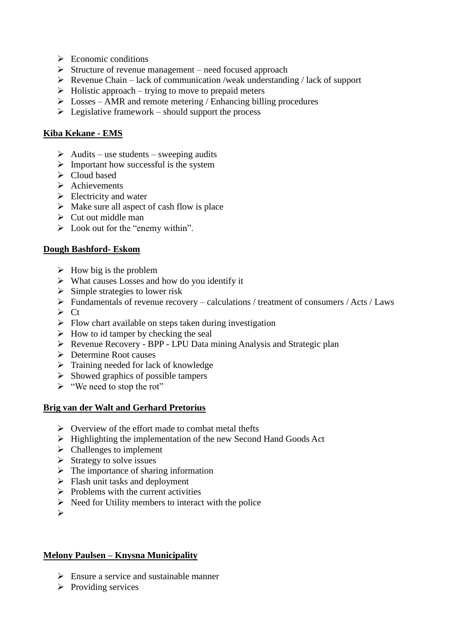- $\triangleright$  Economic conditions
- $\triangleright$  Structure of revenue management need focused approach
- $\triangleright$  Revenue Chain lack of communication /weak understanding / lack of support
- $\triangleright$  Holistic approach trying to move to prepaid meters
- $\triangleright$  Losses AMR and remote metering / Enhancing billing procedures
- $\triangleright$  Legislative framework should support the process

## **Kiba Kekane - EMS**

- $\triangleright$  Audits use students sweeping audits
- $\triangleright$  Important how successful is the system
- $\triangleright$  Cloud based
- $\triangleright$  Achievements
- $\triangleright$  Electricity and water
- $\triangleright$  Make sure all aspect of cash flow is place
- $\triangleright$  Cut out middle man
- $\triangleright$  Look out for the "enemy within".

### **Dough Bashford- Eskom**

- $\triangleright$  How big is the problem
- $\triangleright$  What causes Losses and how do you identify it
- $\triangleright$  Simple strategies to lower risk
- $\triangleright$  Fundamentals of revenue recovery calculations / treatment of consumers / Acts / Laws
- $\triangleright$  Ct
- $\triangleright$  Flow chart available on steps taken during investigation
- $\triangleright$  How to id tamper by checking the seal
- Revenue Recovery BPP LPU Data mining Analysis and Strategic plan
- Determine Root causes
- $\triangleright$  Training needed for lack of knowledge
- $\triangleright$  Showed graphics of possible tampers
- $\triangleright$  "We need to stop the rot"

## **Brig van der Walt and Gerhard Pretorius**

- $\triangleright$  Overview of the effort made to combat metal thefts
- $\triangleright$  Highlighting the implementation of the new Second Hand Goods Act
- $\triangleright$  Challenges to implement
- $\triangleright$  Strategy to solve issues
- $\triangleright$  The importance of sharing information
- $\triangleright$  Flash unit tasks and deployment
- $\triangleright$  Problems with the current activities
- $\triangleright$  Need for Utility members to interact with the police
- $\blacktriangleright$

#### **Melony Paulsen – Knysna Municipality**

- $\triangleright$  Ensure a service and sustainable manner
- $\triangleright$  Providing services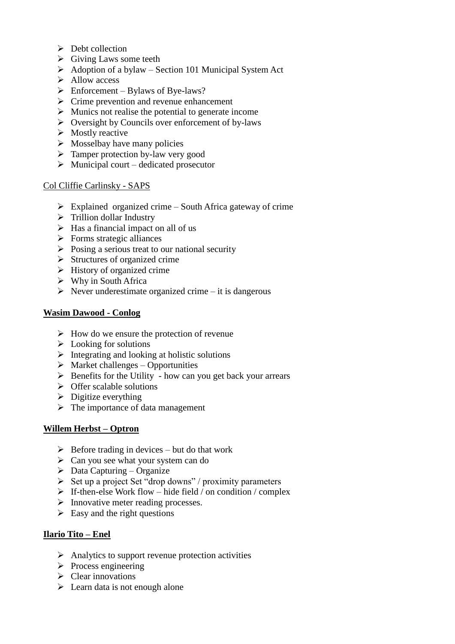- $\triangleright$  Debt collection
- $\triangleright$  Giving Laws some teeth
- $\triangleright$  Adoption of a bylaw Section 101 Municipal System Act
- $\triangleright$  Allow access
- $\triangleright$  Enforcement Bylaws of Bye-laws?
- $\triangleright$  Crime prevention and revenue enhancement
- $\triangleright$  Munics not realise the potential to generate income
- $\triangleright$  Oversight by Councils over enforcement of by-laws
- $\triangleright$  Mostly reactive
- $\triangleright$  Mosselbay have many policies
- $\triangleright$  Tamper protection by-law very good
- $\triangleright$  Municipal court dedicated prosecutor

### Col Cliffie Carlinsky - SAPS

- $\triangleright$  Explained organized crime South Africa gateway of crime
- $\triangleright$  Trillion dollar Industry
- $\triangleright$  Has a financial impact on all of us
- $\triangleright$  Forms strategic alliances
- $\triangleright$  Posing a serious treat to our national security
- $\triangleright$  Structures of organized crime
- $\triangleright$  History of organized crime
- $\triangleright$  Why in South Africa
- $\triangleright$  Never underestimate organized crime it is dangerous

## **Wasim Dawood - Conlog**

- $\triangleright$  How do we ensure the protection of revenue
- $\triangleright$  Looking for solutions
- $\triangleright$  Integrating and looking at holistic solutions
- $\triangleright$  Market challenges Opportunities
- $\triangleright$  Benefits for the Utility how can you get back your arrears
- $\triangleright$  Offer scalable solutions
- $\triangleright$  Digitize everything
- $\triangleright$  The importance of data management

## **Willem Herbst – Optron**

- $\triangleright$  Before trading in devices but do that work
- $\triangleright$  Can you see what your system can do
- $\triangleright$  Data Capturing Organize
- $\triangleright$  Set up a project Set "drop downs" / proximity parameters
- $\triangleright$  If-then-else Work flow hide field / on condition / complex
- $\triangleright$  Innovative meter reading processes.
- $\triangleright$  Easy and the right questions

## **Ilario Tito – Enel**

- $\triangleright$  Analytics to support revenue protection activities
- $\triangleright$  Process engineering
- $\triangleright$  Clear innovations
- $\triangleright$  Learn data is not enough alone